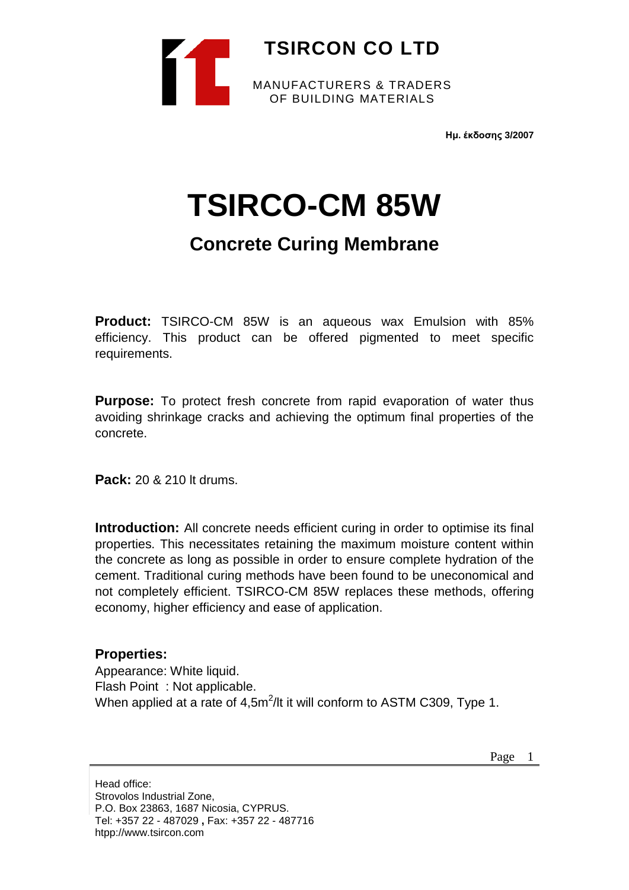

**Ημ. έκδοσης 3/2007**

## **TSIRCO-CM 85W**

## **Concrete Curing Membrane**

**Product:** TSIRCO-CM 85W is an aqueous wax Emulsion with 85% efficiency. This product can be offered pigmented to meet specific requirements.

**Purpose:** To protect fresh concrete from rapid evaporation of water thus avoiding shrinkage cracks and achieving the optimum final properties of the concrete.

**Pack:** 20 & 210 lt drums.

**Introduction:** All concrete needs efficient curing in order to optimise its final properties. This necessitates retaining the maximum moisture content within the concrete as long as possible in order to ensure complete hydration of the cement. Traditional curing methods have been found to be uneconomical and not completely efficient. TSIRCO-CM 85W replaces these methods, offering economy, higher efficiency and ease of application.

## **Properties:**

Appearance: White liquid. Flash Point : Not applicable. When applied at a rate of 4,5m<sup>2</sup>/lt it will conform to ASTM C309, Type 1.

Head office: Strovolos Industrial Zone, P.O. Box 23863, 1687 Nicosia, CYPRUS. Tel: +357 22 - 487029 **,** Fax: +357 22 - 487716 htpp://www.tsircon.com

Page 1